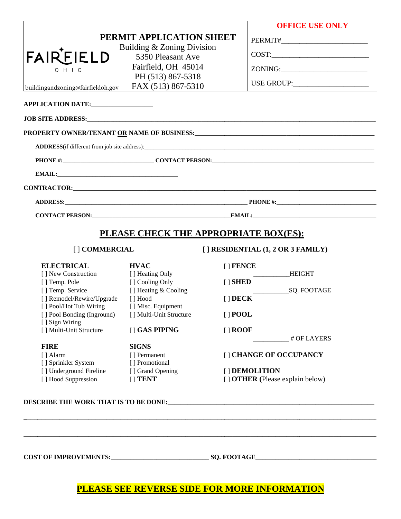|                                                             |                                                 | <b>OFFICE USE ONLY</b>                                                                                                                                                                                                         |
|-------------------------------------------------------------|-------------------------------------------------|--------------------------------------------------------------------------------------------------------------------------------------------------------------------------------------------------------------------------------|
|                                                             | PERMIT APPLICATION SHEET                        |                                                                                                                                                                                                                                |
| <b>FAIREIELD</b>                                            | Building & Zoning Division<br>5350 Pleasant Ave |                                                                                                                                                                                                                                |
|                                                             | Fairfield, OH 45014                             | ZONING:________________________                                                                                                                                                                                                |
| $O$ H $\perp$ O                                             | PH (513) 867-5318                               |                                                                                                                                                                                                                                |
| buildingandzoning@fairfieldoh.gov                           | FAX (513) 867-5310                              |                                                                                                                                                                                                                                |
| APPLICATION DATE:                                           |                                                 |                                                                                                                                                                                                                                |
| JOB SITE ADDRESS: University of the SITE ADDRESS:           |                                                 |                                                                                                                                                                                                                                |
|                                                             |                                                 | PROPERTY OWNER/TENANT OR NAME OF BUSINESS: University of the state of the state of the state of the state of the state of the state of the state of the state of the state of the state of the state of the state of the state |
|                                                             |                                                 |                                                                                                                                                                                                                                |
|                                                             |                                                 |                                                                                                                                                                                                                                |
|                                                             |                                                 |                                                                                                                                                                                                                                |
| CONTRACTOR: The CONTRACTOR CONTRACTOR CONTRACTOR CONTRACTOR |                                                 |                                                                                                                                                                                                                                |
|                                                             |                                                 |                                                                                                                                                                                                                                |
|                                                             |                                                 |                                                                                                                                                                                                                                |
|                                                             |                                                 | PLEASE CHECK THE APPROPRIATE BOX(ES):                                                                                                                                                                                          |
| [] COMMERCIAL                                               |                                                 | $[ ]$ RESIDENTIAL $(1, 2 \text{ OR } 3 \text{ FAMILY})$                                                                                                                                                                        |
| <b>ELECTRICAL</b>                                           | <b>HVAC</b>                                     | $[$ FENCE                                                                                                                                                                                                                      |
| [ ] New Construction<br>[] Temp. Pole                       | [] Heating Only<br>[] Cooling Only              | <b>HEIGHT</b><br>$[$ SHED                                                                                                                                                                                                      |
| [] Temp. Service                                            | [] Heating & Cooling                            | SQ. FOOTAGE                                                                                                                                                                                                                    |
| [] Remodel/Rewire/Upgrade<br>[] Pool/Hot Tub Wiring         | $\lceil$ Hood<br>[ ] Misc. Equipment            | $[$ $]$ DECK                                                                                                                                                                                                                   |
| [] Pool Bonding (Inground)                                  | [] Multi-Unit Structure                         | $[$   POOL                                                                                                                                                                                                                     |
| [ ] Sign Wiring<br>[] Multi-Unit Structure                  | [ ] GAS PIPING                                  | $[ ]$ ROOF                                                                                                                                                                                                                     |
|                                                             |                                                 | # OF LAYERS                                                                                                                                                                                                                    |
|                                                             | <b>SIGNS</b>                                    |                                                                                                                                                                                                                                |
| <b>FIRE</b>                                                 |                                                 |                                                                                                                                                                                                                                |
| [ ] Alarm                                                   | [] Permanent                                    | [] CHANGE OF OCCUPANCY                                                                                                                                                                                                         |
| [] Sprinkler System<br>[] Underground Fireline              | [] Promotional<br>[] Grand Opening              | [ ] DEMOLITION                                                                                                                                                                                                                 |

# PLEASE SEE REVERSE SIDE FOR MORE INFORMATION